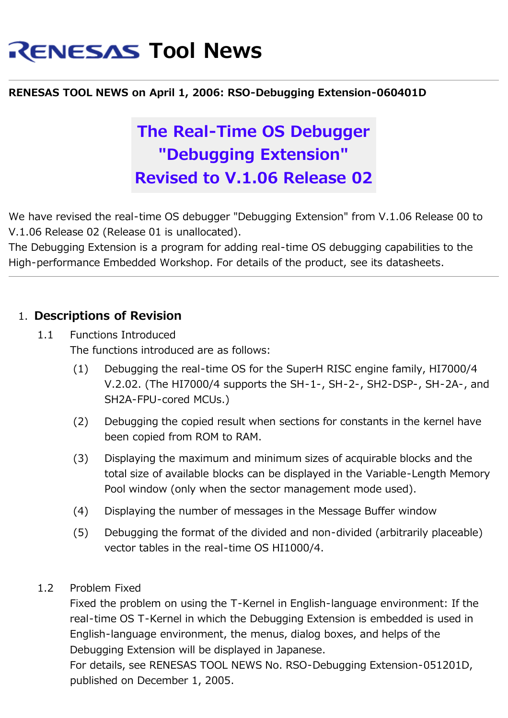# **RENESAS Tool News**

#### **RENESAS TOOL NEWS on April 1, 2006: RSO-Debugging Extension-060401D**

## **The Real-Time OS Debugger "Debugging Extension" Revised to V.1.06 Release 02**

We have revised the real-time OS debugger "Debugging Extension" from V.1.06 Release 00 to V.1.06 Release 02 (Release 01 is unallocated).

The Debugging Extension is a program for adding real-time OS debugging capabilities to the High-performance Embedded Workshop. For details of the product, see its datasheets.

#### 1. **Descriptions of Revision**

- 1.1 Functions Introduced The functions introduced are as follows:
	- (1) Debugging the real-time OS for the SuperH RISC engine family, HI7000/4 V.2.02. (The HI7000/4 supports the SH-1-, SH-2-, SH2-DSP-, SH-2A-, and SH2A-FPU-cored MCUs.)
	- (2) Debugging the copied result when sections for constants in the kernel have been copied from ROM to RAM.
	- (3) Displaying the maximum and minimum sizes of acquirable blocks and the total size of available blocks can be displayed in the Variable-Length Memory Pool window (only when the sector management mode used).
	- (4) Displaying the number of messages in the Message Buffer window
	- (5) Debugging the format of the divided and non-divided (arbitrarily placeable) vector tables in the real-time OS HI1000/4.
- 1.2 Problem Fixed

Fixed the problem on using the T-Kernel in English-language environment: If the real-time OS T-Kernel in which the Debugging Extension is embedded is used in English-language environment, the menus, dialog boxes, and helps of the Debugging Extension will be displayed in Japanese.

For details, see RENESAS TOOL NEWS No. RSO-Debugging Extension-051201D, published on December 1, 2005.